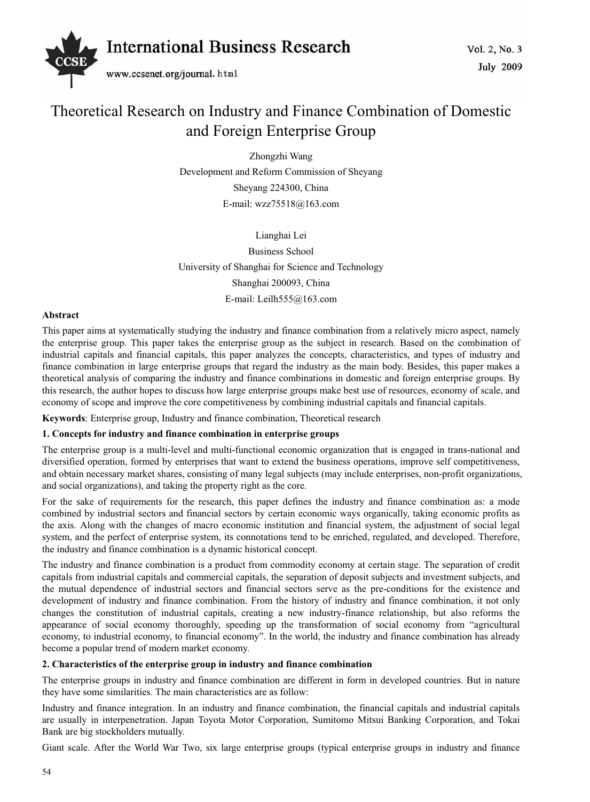

# Theoretical Research on Industry and Finance Combination of Domestic and Foreign Enterprise Group

Zhongzhi Wang Development and Reform Commission of Sheyang Sheyang 224300, China E-mail: wzz75518@163.com

Lianghai Lei Business School University of Shanghai for Science and Technology Shanghai 200093, China E-mail: Leilh555@163.com

#### **Abstract**

This paper aims at systematically studying the industry and finance combination from a relatively micro aspect, namely the enterprise group. This paper takes the enterprise group as the subject in research. Based on the combination of industrial capitals and financial capitals, this paper analyzes the concepts, characteristics, and types of industry and finance combination in large enterprise groups that regard the industry as the main body. Besides, this paper makes a theoretical analysis of comparing the industry and finance combinations in domestic and foreign enterprise groups. By this research, the author hopes to discuss how large enterprise groups make best use of resources, economy of scale, and economy of scope and improve the core competitiveness by combining industrial capitals and financial capitals.

**Keywords**: Enterprise group, Industry and finance combination, Theoretical research

#### **1. Concepts for industry and finance combination in enterprise groups**

The enterprise group is a multi-level and multi-functional economic organization that is engaged in trans-national and diversified operation, formed by enterprises that want to extend the business operations, improve self competitiveness, and obtain necessary market shares, consisting of many legal subjects (may include enterprises, non-profit organizations, and social organizations), and taking the property right as the core.

For the sake of requirements for the research, this paper defines the industry and finance combination as: a mode combined by industrial sectors and financial sectors by certain economic ways organically, taking economic profits as the axis. Along with the changes of macro economic institution and financial system, the adjustment of social legal system, and the perfect of enterprise system, its connotations tend to be enriched, regulated, and developed. Therefore, the industry and finance combination is a dynamic historical concept.

The industry and finance combination is a product from commodity economy at certain stage. The separation of credit capitals from industrial capitals and commercial capitals, the separation of deposit subjects and investment subjects, and the mutual dependence of industrial sectors and financial sectors serve as the pre-conditions for the existence and development of industry and finance combination. From the history of industry and finance combination, it not only changes the constitution of industrial capitals, creating a new industry-finance relationship, but also reforms the appearance of social economy thoroughly, speeding up the transformation of social economy from "agricultural economy, to industrial economy, to financial economy". In the world, the industry and finance combination has already become a popular trend of modern market economy.

### **2. Characteristics of the enterprise group in industry and finance combination**

The enterprise groups in industry and finance combination are different in form in developed countries. But in nature they have some similarities. The main characteristics are as follow:

Industry and finance integration. In an industry and finance combination, the financial capitals and industrial capitals are usually in interpenetration. Japan Toyota Motor Corporation, Sumitomo Mitsui Banking Corporation, and Tokai Bank are big stockholders mutually.

Giant scale. After the World War Two, six large enterprise groups (typical enterprise groups in industry and finance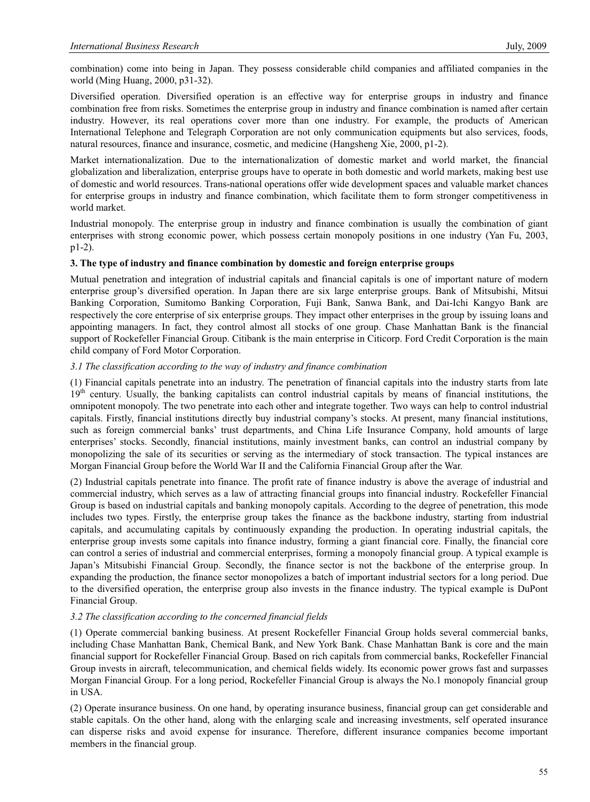combination) come into being in Japan. They possess considerable child companies and affiliated companies in the world (Ming Huang, 2000, p31-32).

Diversified operation. Diversified operation is an effective way for enterprise groups in industry and finance combination free from risks. Sometimes the enterprise group in industry and finance combination is named after certain industry. However, its real operations cover more than one industry. For example, the products of American International Telephone and Telegraph Corporation are not only communication equipments but also services, foods, natural resources, finance and insurance, cosmetic, and medicine (Hangsheng Xie, 2000, p1-2).

Market internationalization. Due to the internationalization of domestic market and world market, the financial globalization and liberalization, enterprise groups have to operate in both domestic and world markets, making best use of domestic and world resources. Trans-national operations offer wide development spaces and valuable market chances for enterprise groups in industry and finance combination, which facilitate them to form stronger competitiveness in world market.

Industrial monopoly. The enterprise group in industry and finance combination is usually the combination of giant enterprises with strong economic power, which possess certain monopoly positions in one industry (Yan Fu, 2003, p1-2).

#### **3. The type of industry and finance combination by domestic and foreign enterprise groups**

Mutual penetration and integration of industrial capitals and financial capitals is one of important nature of modern enterprise group's diversified operation. In Japan there are six large enterprise groups. Bank of Mitsubishi, Mitsui Banking Corporation, Sumitomo Banking Corporation, Fuji Bank, Sanwa Bank, and Dai-Ichi Kangyo Bank are respectively the core enterprise of six enterprise groups. They impact other enterprises in the group by issuing loans and appointing managers. In fact, they control almost all stocks of one group. Chase Manhattan Bank is the financial support of Rockefeller Financial Group. Citibank is the main enterprise in Citicorp. Ford Credit Corporation is the main child company of Ford Motor Corporation.

#### *3.1 The classification according to the way of industry and finance combination*

(1) Financial capitals penetrate into an industry. The penetration of financial capitals into the industry starts from late  $19<sup>th</sup>$  century. Usually, the banking capitalists can control industrial capitals by means of financial institutions, the omnipotent monopoly. The two penetrate into each other and integrate together. Two ways can help to control industrial capitals. Firstly, financial institutions directly buy industrial company's stocks. At present, many financial institutions, such as foreign commercial banks' trust departments, and China Life Insurance Company, hold amounts of large enterprises' stocks. Secondly, financial institutions, mainly investment banks, can control an industrial company by monopolizing the sale of its securities or serving as the intermediary of stock transaction. The typical instances are Morgan Financial Group before the World War II and the California Financial Group after the War.

(2) Industrial capitals penetrate into finance. The profit rate of finance industry is above the average of industrial and commercial industry, which serves as a law of attracting financial groups into financial industry. Rockefeller Financial Group is based on industrial capitals and banking monopoly capitals. According to the degree of penetration, this mode includes two types. Firstly, the enterprise group takes the finance as the backbone industry, starting from industrial capitals, and accumulating capitals by continuously expanding the production. In operating industrial capitals, the enterprise group invests some capitals into finance industry, forming a giant financial core. Finally, the financial core can control a series of industrial and commercial enterprises, forming a monopoly financial group. A typical example is Japan's Mitsubishi Financial Group. Secondly, the finance sector is not the backbone of the enterprise group. In expanding the production, the finance sector monopolizes a batch of important industrial sectors for a long period. Due to the diversified operation, the enterprise group also invests in the finance industry. The typical example is DuPont Financial Group.

#### *3.2 The classification according to the concerned financial fields*

(1) Operate commercial banking business. At present Rockefeller Financial Group holds several commercial banks, including Chase Manhattan Bank, Chemical Bank, and New York Bank. Chase Manhattan Bank is core and the main financial support for Rockefeller Financial Group. Based on rich capitals from commercial banks, Rockefeller Financial Group invests in aircraft, telecommunication, and chemical fields widely. Its economic power grows fast and surpasses Morgan Financial Group. For a long period, Rockefeller Financial Group is always the No.1 monopoly financial group in USA.

(2) Operate insurance business. On one hand, by operating insurance business, financial group can get considerable and stable capitals. On the other hand, along with the enlarging scale and increasing investments, self operated insurance can disperse risks and avoid expense for insurance. Therefore, different insurance companies become important members in the financial group.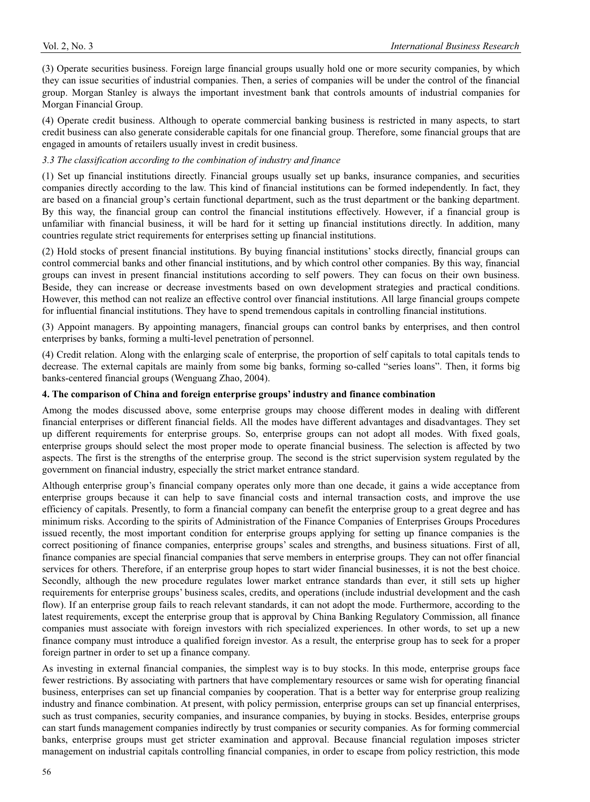(3) Operate securities business. Foreign large financial groups usually hold one or more security companies, by which they can issue securities of industrial companies. Then, a series of companies will be under the control of the financial group. Morgan Stanley is always the important investment bank that controls amounts of industrial companies for Morgan Financial Group.

(4) Operate credit business. Although to operate commercial banking business is restricted in many aspects, to start credit business can also generate considerable capitals for one financial group. Therefore, some financial groups that are engaged in amounts of retailers usually invest in credit business.

## *3.3 The classification according to the combination of industry and finance*

(1) Set up financial institutions directly. Financial groups usually set up banks, insurance companies, and securities companies directly according to the law. This kind of financial institutions can be formed independently. In fact, they are based on a financial group's certain functional department, such as the trust department or the banking department. By this way, the financial group can control the financial institutions effectively. However, if a financial group is unfamiliar with financial business, it will be hard for it setting up financial institutions directly. In addition, many countries regulate strict requirements for enterprises setting up financial institutions.

(2) Hold stocks of present financial institutions. By buying financial institutions' stocks directly, financial groups can control commercial banks and other financial institutions, and by which control other companies. By this way, financial groups can invest in present financial institutions according to self powers. They can focus on their own business. Beside, they can increase or decrease investments based on own development strategies and practical conditions. However, this method can not realize an effective control over financial institutions. All large financial groups compete for influential financial institutions. They have to spend tremendous capitals in controlling financial institutions.

(3) Appoint managers. By appointing managers, financial groups can control banks by enterprises, and then control enterprises by banks, forming a multi-level penetration of personnel.

(4) Credit relation. Along with the enlarging scale of enterprise, the proportion of self capitals to total capitals tends to decrease. The external capitals are mainly from some big banks, forming so-called "series loans". Then, it forms big banks-centered financial groups (Wenguang Zhao, 2004).

## **4. The comparison of China and foreign enterprise groups' industry and finance combination**

Among the modes discussed above, some enterprise groups may choose different modes in dealing with different financial enterprises or different financial fields. All the modes have different advantages and disadvantages. They set up different requirements for enterprise groups. So, enterprise groups can not adopt all modes. With fixed goals, enterprise groups should select the most proper mode to operate financial business. The selection is affected by two aspects. The first is the strengths of the enterprise group. The second is the strict supervision system regulated by the government on financial industry, especially the strict market entrance standard.

Although enterprise group's financial company operates only more than one decade, it gains a wide acceptance from enterprise groups because it can help to save financial costs and internal transaction costs, and improve the use efficiency of capitals. Presently, to form a financial company can benefit the enterprise group to a great degree and has minimum risks. According to the spirits of Administration of the Finance Companies of Enterprises Groups Procedures issued recently, the most important condition for enterprise groups applying for setting up finance companies is the correct positioning of finance companies, enterprise groups' scales and strengths, and business situations. First of all, finance companies are special financial companies that serve members in enterprise groups. They can not offer financial services for others. Therefore, if an enterprise group hopes to start wider financial businesses, it is not the best choice. Secondly, although the new procedure regulates lower market entrance standards than ever, it still sets up higher requirements for enterprise groups' business scales, credits, and operations (include industrial development and the cash flow). If an enterprise group fails to reach relevant standards, it can not adopt the mode. Furthermore, according to the latest requirements, except the enterprise group that is approval by China Banking Regulatory Commission, all finance companies must associate with foreign investors with rich specialized experiences. In other words, to set up a new finance company must introduce a qualified foreign investor. As a result, the enterprise group has to seek for a proper foreign partner in order to set up a finance company.

As investing in external financial companies, the simplest way is to buy stocks. In this mode, enterprise groups face fewer restrictions. By associating with partners that have complementary resources or same wish for operating financial business, enterprises can set up financial companies by cooperation. That is a better way for enterprise group realizing industry and finance combination. At present, with policy permission, enterprise groups can set up financial enterprises, such as trust companies, security companies, and insurance companies, by buying in stocks. Besides, enterprise groups can start funds management companies indirectly by trust companies or security companies. As for forming commercial banks, enterprise groups must get stricter examination and approval. Because financial regulation imposes stricter management on industrial capitals controlling financial companies, in order to escape from policy restriction, this mode